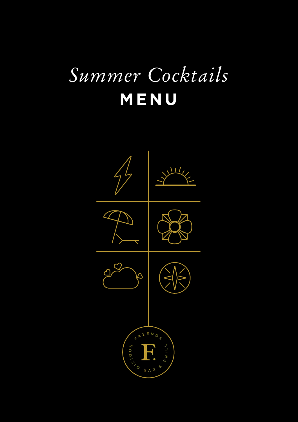## *Summer Cocktails* **MENU**

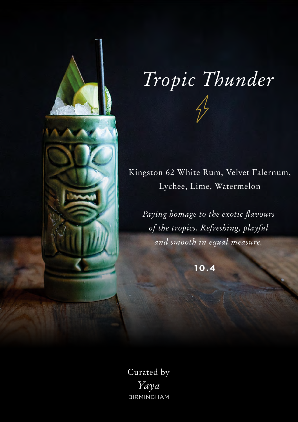

# *Tropic Thunder*

Kingston 62 White Rum, Velvet Falernum, Lychee, Lime, Watermelon

*Paying homage to the exotic flavours of the tropics. Refreshing, playful and smooth in equal measure.*

**10.4**

Curated by *Yaya* BIRMINGHAM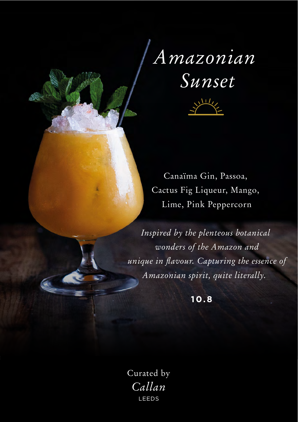## *Amazonian Sunset*



Canaïma Gin, Passoa, Cactus Fig Liqueur, Mango, Lime, Pink Peppercorn

*Inspired by the plenteous botanical wonders of the Amazon and unique in flavour. Capturing the essence of Amazonian spirit, quite literally.* 

**10.8**

Curated by *Callan* LEEDS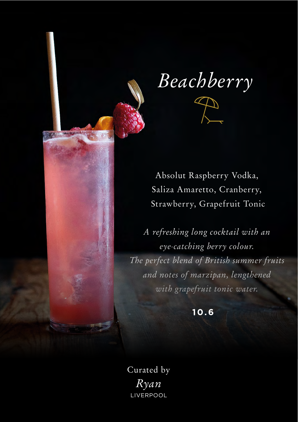

*Beachberry*



Saliza Amaretto, Cranberry, Strawberry, Grapefruit Tonic

*A refreshing long cocktail with an eye-catching berry colour. The perfect blend of British summer fruits and notes of marzipan, lengthened with grapefruit tonic water.* 

**10.6**

Curated by *Ryan* LIVERPOOL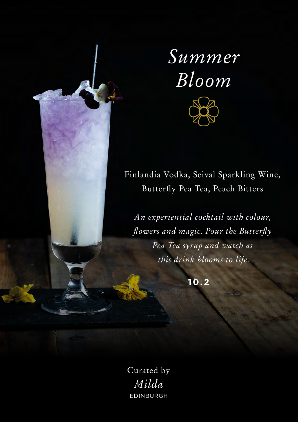

Finlandia Vodka, Seival Sparkling Wine, Butterfly Pea Tea, Peach Bitters

*An experiential cocktail with colour, flowers and magic. Pour the Butterfly Pea Tea syrup and watch as this drink blooms to life.*

**10.2**

Curated by *Milda* EDINBURGH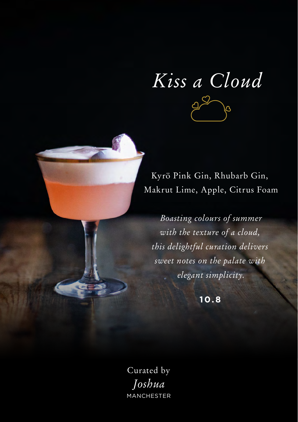*Kiss a Cloud*  $\circ$ 

Kyrö Pink Gin, Rhubarb Gin, Makrut Lime, Apple, Citrus Foam

*Boasting colours of summer with the texture of a cloud, this delightful curation delivers sweet notes on the palate with elegant simplicity.*

**10.8**

Curated by *Joshua* **MANCHESTER**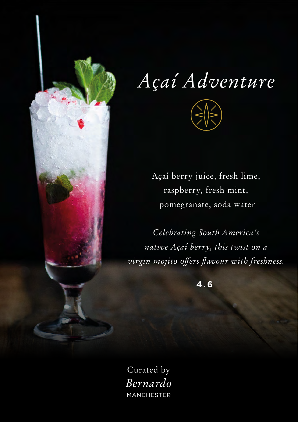

## *Açaí Adventure*



Açaí berry juice, fresh lime, raspberry, fresh mint, pomegranate, soda water

*Celebrating South America's native Açaí berry, this twist on a virgin mojito offers flavour with freshness.* 

**4.6**

Curated by *Bernardo* MANCHESTER